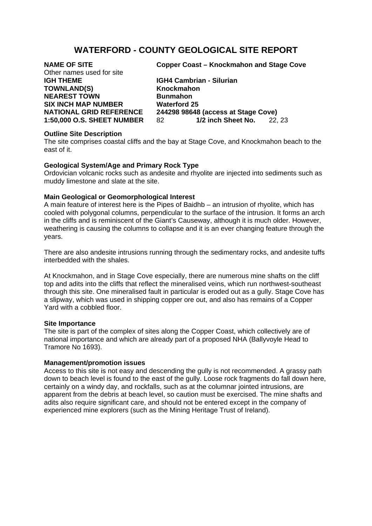# **WATERFORD - COUNTY GEOLOGICAL SITE REPORT**

| <b>NAME OF SITE</b>               |   |
|-----------------------------------|---|
| Other names used for site         |   |
| <b>IGH THEME</b>                  |   |
| <b>TOWNLAND(S)</b>                | ŀ |
| <b>NEAREST TOWN</b>               | F |
| <b>SIX INCH MAP NUMBER</b>        | V |
| <b>NATIONAL GRID REFERENCE</b>    | 2 |
| <b>1:50,000 O.S. SHEET NUMBER</b> | ۶ |

**Copper Coast – Knockmahon and Stage Cove** 

**GH4 Cambrian - Silurian Thockmahon Runmahon Naterford 25 NATIONAL GRID REFERENCE 244298 98648 (access at Stage Cove) 1/2 inch Sheet No.** 22, 23

## **Outline Site Description**

The site comprises coastal cliffs and the bay at Stage Cove, and Knockmahon beach to the east of it.

### **Geological System/Age and Primary Rock Type**

Ordovician volcanic rocks such as andesite and rhyolite are injected into sediments such as muddy limestone and slate at the site.

## **Main Geological or Geomorphological Interest**

A main feature of interest here is the Pipes of Baidhb – an intrusion of rhyolite, which has cooled with polygonal columns, perpendicular to the surface of the intrusion. It forms an arch in the cliffs and is reminiscent of the Giant's Causeway, although it is much older. However, weathering is causing the columns to collapse and it is an ever changing feature through the years.

There are also andesite intrusions running through the sedimentary rocks, and andesite tuffs interbedded with the shales.

At Knockmahon, and in Stage Cove especially, there are numerous mine shafts on the cliff top and adits into the cliffs that reflect the mineralised veins, which run northwest-southeast through this site. One mineralised fault in particular is eroded out as a gully. Stage Cove has a slipway, which was used in shipping copper ore out, and also has remains of a Copper Yard with a cobbled floor.

#### **Site Importance**

The site is part of the complex of sites along the Copper Coast, which collectively are of national importance and which are already part of a proposed NHA (Ballyvoyle Head to Tramore No 1693).

#### **Management/promotion issues**

Access to this site is not easy and descending the gully is not recommended. A grassy path down to beach level is found to the east of the gully. Loose rock fragments do fall down here, certainly on a windy day, and rockfalls, such as at the columnar jointed intrusions, are apparent from the debris at beach level, so caution must be exercised. The mine shafts and adits also require significant care, and should not be entered except in the company of experienced mine explorers (such as the Mining Heritage Trust of Ireland).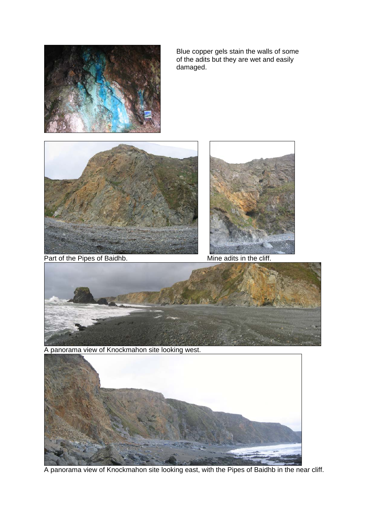

Blue copper gels stain the walls of some of the adits but they are wet and easily damaged.





Part of the Pipes of Baidhb. Mine adits in the cliff.



A panorama view of Knockmahon site looking west.



A panorama view of Knockmahon site looking east, with the Pipes of Baidhb in the near cliff.